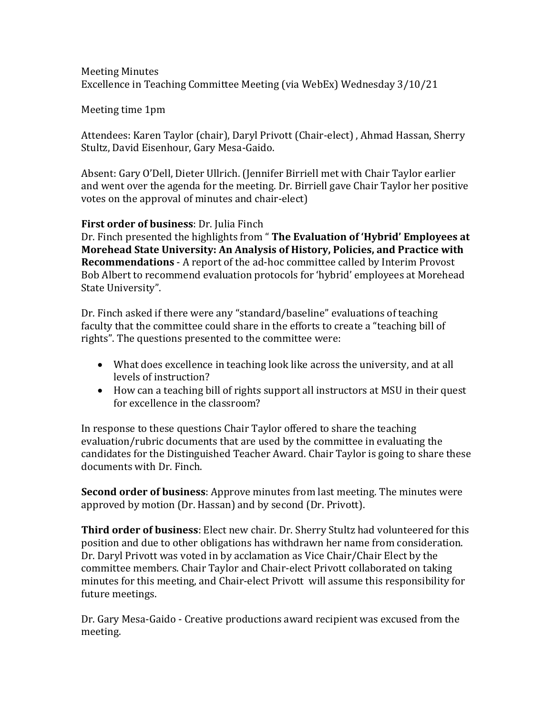## Meeting Minutes Excellence in Teaching Committee Meeting (via WebEx) Wednesday 3/10/21

Meeting time 1pm

Attendees: Karen Taylor (chair), Daryl Privott (Chair-elect) , Ahmad Hassan, Sherry Stultz, David Eisenhour, Gary Mesa-Gaido.

Absent: Gary O'Dell, Dieter Ullrich. (Jennifer Birriell met with Chair Taylor earlier and went over the agenda for the meeting. Dr. Birriell gave Chair Taylor her positive votes on the approval of minutes and chair-elect)

## **First order of business**: Dr. Julia Finch

Dr. Finch presented the highlights from " **The Evaluation of 'Hybrid' Employees at Morehead State University: An Analysis of History, Policies, and Practice with Recommendations** - A report of the ad-hoc committee called by Interim Provost Bob Albert to recommend evaluation protocols for 'hybrid' employees at Morehead State University".

Dr. Finch asked if there were any "standard/baseline" evaluations of teaching faculty that the committee could share in the efforts to create a "teaching bill of rights". The questions presented to the committee were:

- What does excellence in teaching look like across the university, and at all levels of instruction?
- How can a teaching bill of rights support all instructors at MSU in their quest for excellence in the classroom?

In response to these questions Chair Taylor offered to share the teaching evaluation/rubric documents that are used by the committee in evaluating the candidates for the Distinguished Teacher Award. Chair Taylor is going to share these documents with Dr. Finch.

**Second order of business**: Approve minutes from last meeting. The minutes were approved by motion (Dr. Hassan) and by second (Dr. Privott).

**Third order of business**: Elect new chair. Dr. Sherry Stultz had volunteered for this position and due to other obligations has withdrawn her name from consideration. Dr. Daryl Privott was voted in by acclamation as Vice Chair/Chair Elect by the committee members. Chair Taylor and Chair-elect Privott collaborated on taking minutes for this meeting, and Chair-elect Privott will assume this responsibility for future meetings.

Dr. Gary Mesa-Gaido - Creative productions award recipient was excused from the meeting.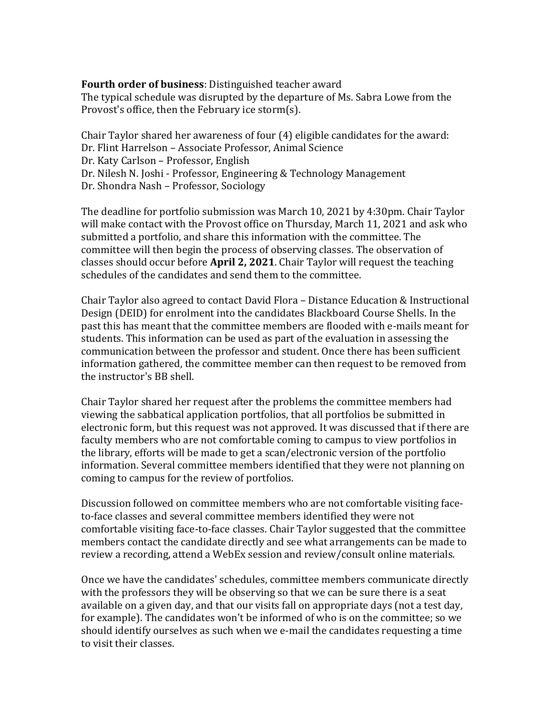## **Fourth order of business**: Distinguished teacher award

The typical schedule was disrupted by the departure of Ms. Sabra Lowe from the Provost's office, then the February ice storm(s).

Chair Taylor shared her awareness of four (4) eligible candidates for the award: Dr. Flint Harrelson – Associate Professor, Animal Science Dr. Katy Carlson – Professor, English Dr. Nilesh N. Joshi - Professor, Engineering & Technology Management Dr. Shondra Nash – Professor, Sociology

The deadline for portfolio submission was March 10, 2021 by 4:30pm. Chair Taylor will make contact with the Provost office on Thursday, March 11, 2021 and ask who submitted a portfolio, and share this information with the committee. The committee will then begin the process of observing classes. The observation of classes should occur before **April 2, 2021**. Chair Taylor will request the teaching schedules of the candidates and send them to the committee.

Chair Taylor also agreed to contact David Flora – Distance Education & Instructional Design (DEID) for enrolment into the candidates Blackboard Course Shells. In the past this has meant that the committee members are flooded with e-mails meant for students. This information can be used as part of the evaluation in assessing the communication between the professor and student. Once there has been sufficient information gathered, the committee member can then request to be removed from the instructor's BB shell.

Chair Taylor shared her request after the problems the committee members had viewing the sabbatical application portfolios, that all portfolios be submitted in electronic form, but this request was not approved. It was discussed that if there are faculty members who are not comfortable coming to campus to view portfolios in the library, efforts will be made to get a scan/electronic version of the portfolio information. Several committee members identified that they were not planning on coming to campus for the review of portfolios.

Discussion followed on committee members who are not comfortable visiting faceto-face classes and several committee members identified they were not comfortable visiting face-to-face classes. Chair Taylor suggested that the committee members contact the candidate directly and see what arrangements can be made to review a recording, attend a WebEx session and review/consult online materials.

Once we have the candidates' schedules, committee members communicate directly with the professors they will be observing so that we can be sure there is a seat available on a given day, and that our visits fall on appropriate days (not a test day, for example). The candidates won't be informed of who is on the committee; so we should identify ourselves as such when we e-mail the candidates requesting a time to visit their classes.